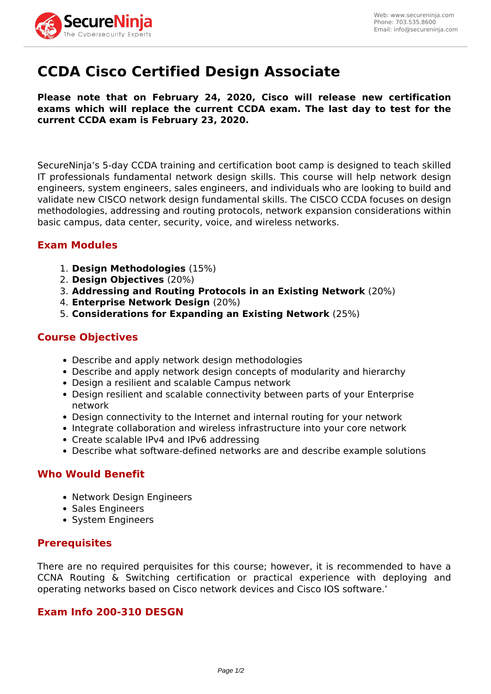

# **CCDA Cisco Certified Design Associate**

**Please note that on February 24, 2020, Cisco will release new certification exams which will replace the current CCDA exam. The last day to test for the current CCDA exam is February 23, 2020.** 

SecureNinja's 5-day CCDA training and certification boot camp is designed to teach skilled IT professionals fundamental network design skills. This course will help network design engineers, system engineers, sales engineers, and individuals who are looking to build and validate new CISCO network design fundamental skills. The CISCO CCDA focuses on design methodologies, addressing and routing protocols, network expansion considerations within basic campus, data center, security, voice, and wireless networks.

# **Exam Modules**

- 1. **Design Methodologies** (15%)
- 2. **Design Objectives** (20%)
- 3. **Addressing and Routing Protocols in an Existing Network** (20%)
- 4. **Enterprise Network Design** (20%)
- 5. **Considerations for Expanding an Existing Network** (25%)

## **Course Objectives**

- Describe and apply network design methodologies
- Describe and apply network design concepts of modularity and hierarchy
- Design a resilient and scalable Campus network
- Design resilient and scalable connectivity between parts of your Enterprise network
- Design connectivity to the Internet and internal routing for your network
- Integrate collaboration and wireless infrastructure into your core network
- Create scalable IPv4 and IPv6 addressing
- Describe what software-defined networks are and describe example solutions

## **Who Would Benefit**

- Network Design Engineers
- Sales Engineers
- System Engineers

### **Prerequisites**

There are no required perquisites for this course; however, it is recommended to have a CCNA Routing & Switching certification or practical experience with deploying and operating networks based on Cisco network devices and Cisco IOS software.'

### **Exam Info 200-310 DESGN**